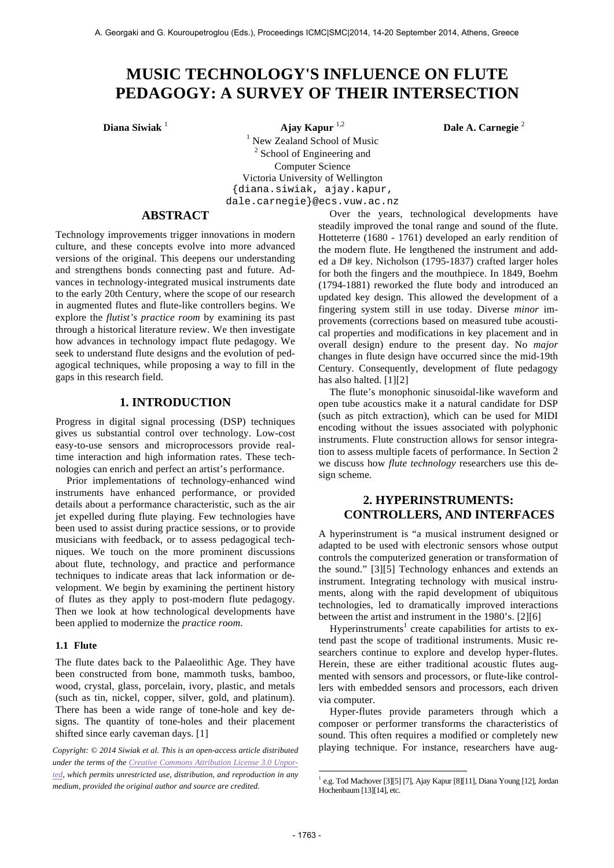# **MUSIC TECHNOLOGY'S INFLUENCE ON FLUTE PEDAGOGY: A SURVEY OF THEIR INTERSECTION**

**Diana Siwiak** <sup>1</sup> **Ajay Kapur** 1,2 **Dale A. Carnegie** <sup>2</sup> <sup>1</sup> New Zealand School of Music <sup>2</sup> School of Engineering and Computer Science Victoria University of Wellington {diana.siwiak, ajay.kapur, dale.carnegie}@ecs.vuw.ac.nz

## **ABSTRACT**

Technology improvements trigger innovations in modern culture, and these concepts evolve into more advanced versions of the original. This deepens our understanding and strengthens bonds connecting past and future. Advances in technology-integrated musical instruments date to the early 20th Century, where the scope of our research in augmented flutes and flute-like controllers begins. We explore the *flutist's practice room* by examining its past through a historical literature review. We then investigate how advances in technology impact flute pedagogy. We seek to understand flute designs and the evolution of pedagogical techniques, while proposing a way to fill in the gaps in this research field.

# **1. INTRODUCTION**

Progress in digital signal processing (DSP) techniques gives us substantial control over technology. Low-cost easy-to-use sensors and microprocessors provide realtime interaction and high information rates. These technologies can enrich and perfect an artist's performance.

Prior implementations of technology-enhanced wind instruments have enhanced performance, or provided details about a performance characteristic, such as the air jet expelled during flute playing. Few technologies have been used to assist during practice sessions, or to provide musicians with feedback, or to assess pedagogical techniques. We touch on the more prominent discussions about flute, technology, and practice and performance techniques to indicate areas that lack information or development. We begin by examining the pertinent history of flutes as they apply to post-modern flute pedagogy. Then we look at how technological developments have been applied to modernize the *practice room*.

#### **1.1 Flute**

The flute dates back to the Palaeolithic Age. They have been constructed from bone, mammoth tusks, bamboo, wood, crystal, glass, porcelain, ivory, plastic, and metals (such as tin, nickel, copper, silver, gold, and platinum). There has been a wide range of tone-hole and key designs. The quantity of tone-holes and their placement shifted since early caveman days. [1]

*Copyright: © 2014 Siwiak et al. This is an open-access article distributed under the terms of the Creative Commons Attribution License 3.0 Unported, which permits unrestricted use, distribution, and reproduction in any medium, provided the original author and source are credited.*

Over the years, technological developments have steadily improved the tonal range and sound of the flute. Hotteterre (1680 - 1761) developed an early rendition of the modern flute. He lengthened the instrument and added a D# key. Nicholson (1795-1837) crafted larger holes for both the fingers and the mouthpiece. In 1849, Boehm (1794-1881) reworked the flute body and introduced an updated key design. This allowed the development of a fingering system still in use today. Diverse *minor* improvements (corrections based on measured tube acoustical properties and modifications in key placement and in overall design) endure to the present day. No *major* changes in flute design have occurred since the mid-19th Century. Consequently, development of flute pedagogy has also halted. [1][2]

The flute's monophonic sinusoidal-like waveform and open tube acoustics make it a natural candidate for DSP (such as pitch extraction), which can be used for MIDI encoding without the issues associated with polyphonic instruments. Flute construction allows for sensor integration to assess multiple facets of performance. In Section 2 we discuss how *flute technology* researchers use this design scheme.

# **2. HYPERINSTRUMENTS: CONTROLLERS, AND INTERFACES**

A hyperinstrument is "a musical instrument designed or adapted to be used with electronic sensors whose output controls the computerized generation or transformation of the sound." [3][5] Technology enhances and extends an instrument. Integrating technology with musical instruments, along with the rapid development of ubiquitous technologies, led to dramatically improved interactions between the artist and instrument in the 1980's. [2][6]

Hyperinstruments<sup>1</sup> create capabilities for artists to extend past the scope of traditional instruments. Music researchers continue to explore and develop hyper-flutes. Herein, these are either traditional acoustic flutes augmented with sensors and processors, or flute-like controllers with embedded sensors and processors, each driven via computer.

Hyper-flutes provide parameters through which a composer or performer transforms the characteristics of sound. This often requires a modified or completely new playing technique. For instance, researchers have aug-

1

 $1$  e.g. Tod Machover [3][5] [7], Ajay Kapur [8][11], Diana Young [12], Jordan Hochenbaum [13][14], etc.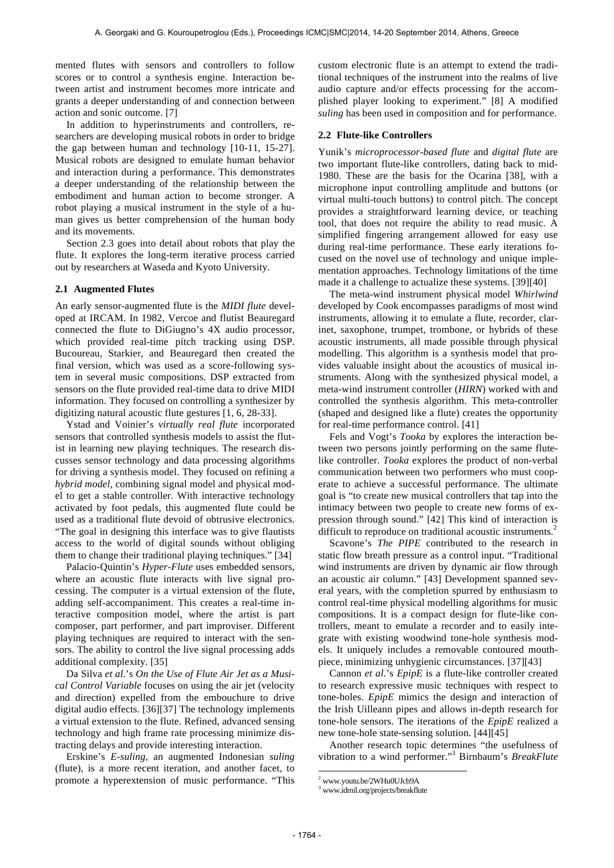mented flutes with sensors and controllers to follow scores or to control a synthesis engine. Interaction between artist and instrument becomes more intricate and grants a deeper understanding of and connection between action and sonic outcome. [7]

In addition to hyperinstruments and controllers, researchers are developing musical robots in order to bridge the gap between human and technology [10-11, 15-27]. Musical robots are designed to emulate human behavior and interaction during a performance. This demonstrates a deeper understanding of the relationship between the embodiment and human action to become stronger. A robot playing a musical instrument in the style of a human gives us better comprehension of the human body and its movements.

Section 2.3 goes into detail about robots that play the flute. It explores the long-term iterative process carried out by researchers at Waseda and Kyoto University.

#### **2.1 Augmented Flutes**

An early sensor-augmented flute is the *MIDI flute* developed at IRCAM. In 1982, Vercoe and flutist Beauregard connected the flute to DiGiugno's 4X audio processor, which provided real-time pitch tracking using DSP. Bucoureau, Starkier, and Beauregard then created the final version, which was used as a score-following system in several music compositions. DSP extracted from sensors on the flute provided real-time data to drive MIDI information. They focused on controlling a synthesizer by digitizing natural acoustic flute gestures [1, 6, 28-33].

Ystad and Voinier's *virtually real flute* incorporated sensors that controlled synthesis models to assist the flutist in learning new playing techniques. The research discusses sensor technology and data processing algorithms for driving a synthesis model. They focused on refining a *hybrid model,* combining signal model and physical model to get a stable controller. With interactive technology activated by foot pedals, this augmented flute could be used as a traditional flute devoid of obtrusive electronics. "The goal in designing this interface was to give flautists access to the world of digital sounds without obliging them to change their traditional playing techniques." [34]

Palacio-Quintin's *Hyper-Flute* uses embedded sensors, where an acoustic flute interacts with live signal processing. The computer is a virtual extension of the flute, adding self-accompaniment. This creates a real-time interactive composition model, where the artist is part composer, part performer, and part improviser. Different playing techniques are required to interact with the sensors. The ability to control the live signal processing adds additional complexity. [35]

Da Silva *et al*.'s *On the Use of Flute Air Jet as a Musical Control Variable* focuses on using the air jet (velocity and direction) expelled from the embouchure to drive digital audio effects. [36][37] The technology implements a virtual extension to the flute. Refined, advanced sensing technology and high frame rate processing minimize distracting delays and provide interesting interaction.

Erskine's *E-suling*, an augmented Indonesian *suling* (flute), is a more recent iteration, and another facet, to promote a hyperextension of music performance. "This custom electronic flute is an attempt to extend the traditional techniques of the instrument into the realms of live audio capture and/or effects processing for the accomplished player looking to experiment." [8] A modified *suling* has been used in composition and for performance.

#### **2.2 Flute-like Controllers**

Yunik's *microprocessor-based flute* and *digital flute* are two important flute-like controllers, dating back to mid-1980. These are the basis for the Ocarina [38], with a microphone input controlling amplitude and buttons (or virtual multi-touch buttons) to control pitch. The concept provides a straightforward learning device, or teaching tool, that does not require the ability to read music. A simplified fingering arrangement allowed for easy use during real-time performance. These early iterations focused on the novel use of technology and unique implementation approaches. Technology limitations of the time made it a challenge to actualize these systems. [39][40]

The meta-wind instrument physical model *Whirlwind* developed by Cook encompasses paradigms of most wind instruments, allowing it to emulate a flute, recorder, clarinet, saxophone, trumpet, trombone, or hybrids of these acoustic instruments, all made possible through physical modelling. This algorithm is a synthesis model that provides valuable insight about the acoustics of musical instruments. Along with the synthesized physical model, a meta-wind instrument controller (*HIRN*) worked with and controlled the synthesis algorithm. This meta-controller (shaped and designed like a flute) creates the opportunity for real-time performance control. [41]

Fels and Vogt's *Tooka* by explores the interaction between two persons jointly performing on the same flutelike controller. *Tooka* explores the product of non-verbal communication between two performers who must cooperate to achieve a successful performance. The ultimate goal is "to create new musical controllers that tap into the intimacy between two people to create new forms of expression through sound." [42] This kind of interaction is difficult to reproduce on traditional acoustic instruments.<sup>2</sup>

Scavone's *The PIPE* contributed to the research in static flow breath pressure as a control input. "Traditional wind instruments are driven by dynamic air flow through an acoustic air column." [43] Development spanned several years, with the completion spurred by enthusiasm to control real-time physical modelling algorithms for music compositions. It is a compact design for flute-like controllers, meant to emulate a recorder and to easily integrate with existing woodwind tone-hole synthesis models. It uniquely includes a removable contoured mouthpiece, minimizing unhygienic circumstances. [37][43]

Cannon *et al*.'s *EpipE* is a flute-like controller created to research expressive music techniques with respect to tone-holes. *EpipE* mimics the design and interaction of the Irish Uilleann pipes and allows in-depth research for tone-hole sensors. The iterations of the *EpipE* realized a new tone-hole state-sensing solution. [44][45]

Another research topic determines "the usefulness of vibration to a wind performer."<sup>3</sup> Birnbaum's *BreakFlute*

1

<sup>2</sup> www.youtu.be/2WHu0UJcb9A

<sup>3</sup> www.idmil.org/projects/breakflute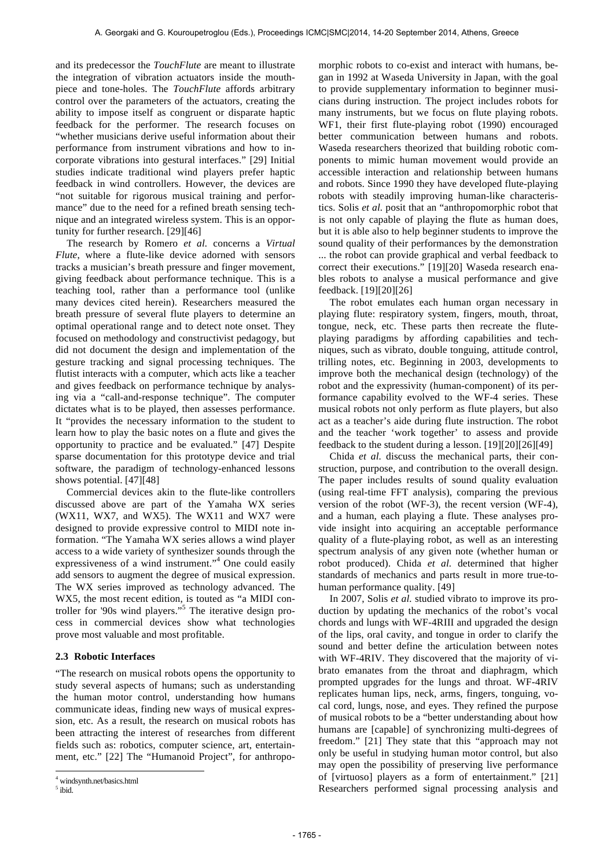and its predecessor the *TouchFlute* are meant to illustrate the integration of vibration actuators inside the mouthpiece and tone-holes. The *TouchFlute* affords arbitrary control over the parameters of the actuators, creating the ability to impose itself as congruent or disparate haptic feedback for the performer. The research focuses on "whether musicians derive useful information about their performance from instrument vibrations and how to incorporate vibrations into gestural interfaces." [29] Initial studies indicate traditional wind players prefer haptic feedback in wind controllers. However, the devices are "not suitable for rigorous musical training and performance" due to the need for a refined breath sensing technique and an integrated wireless system. This is an opportunity for further research. [29][46]

The research by Romero *et al.* concerns a *Virtual Flute*, where a flute-like device adorned with sensors tracks a musician's breath pressure and finger movement, giving feedback about performance technique. This is a teaching tool, rather than a performance tool (unlike many devices cited herein). Researchers measured the breath pressure of several flute players to determine an optimal operational range and to detect note onset. They focused on methodology and constructivist pedagogy, but did not document the design and implementation of the gesture tracking and signal processing techniques. The flutist interacts with a computer, which acts like a teacher and gives feedback on performance technique by analysing via a "call-and-response technique". The computer dictates what is to be played, then assesses performance. It "provides the necessary information to the student to learn how to play the basic notes on a flute and gives the opportunity to practice and be evaluated." [47] Despite sparse documentation for this prototype device and trial software, the paradigm of technology-enhanced lessons shows potential. [47][48]

Commercial devices akin to the flute-like controllers discussed above are part of the Yamaha WX series (WX11, WX7, and WX5). The WX11 and WX7 were designed to provide expressive control to MIDI note information. "The Yamaha WX series allows a wind player access to a wide variety of synthesizer sounds through the expressiveness of a wind instrument."<sup>4</sup> One could easily add sensors to augment the degree of musical expression. The WX series improved as technology advanced. The WX5, the most recent edition, is touted as "a MIDI controller for '90s wind players."<sup>5</sup> The iterative design process in commercial devices show what technologies prove most valuable and most profitable.

## **2.3 Robotic Interfaces**

"The research on musical robots opens the opportunity to study several aspects of humans; such as understanding the human motor control, understanding how humans communicate ideas, finding new ways of musical expression, etc. As a result, the research on musical robots has been attracting the interest of researches from different fields such as: robotics, computer science, art, entertainment, etc." [22] The "Humanoid Project", for anthropo-

l

morphic robots to co-exist and interact with humans, began in 1992 at Waseda University in Japan, with the goal to provide supplementary information to beginner musicians during instruction. The project includes robots for many instruments, but we focus on flute playing robots. WF1, their first flute-playing robot (1990) encouraged better communication between humans and robots. Waseda researchers theorized that building robotic components to mimic human movement would provide an accessible interaction and relationship between humans and robots. Since 1990 they have developed flute-playing robots with steadily improving human-like characteristics. Solis *et al.* posit that an "anthropomorphic robot that is not only capable of playing the flute as human does, but it is able also to help beginner students to improve the sound quality of their performances by the demonstration ... the robot can provide graphical and verbal feedback to correct their executions." [19][20] Waseda research enables robots to analyse a musical performance and give feedback. [19][20][26]

The robot emulates each human organ necessary in playing flute: respiratory system, fingers, mouth, throat, tongue, neck, etc. These parts then recreate the fluteplaying paradigms by affording capabilities and techniques, such as vibrato, double tonguing, attitude control, trilling notes, etc. Beginning in 2003, developments to improve both the mechanical design (technology) of the robot and the expressivity (human-component) of its performance capability evolved to the WF-4 series. These musical robots not only perform as flute players, but also act as a teacher's aide during flute instruction. The robot and the teacher 'work together' to assess and provide feedback to the student during a lesson. [19][20][26][49]

Chida *et al.* discuss the mechanical parts, their construction, purpose, and contribution to the overall design. The paper includes results of sound quality evaluation (using real-time FFT analysis), comparing the previous version of the robot (WF-3), the recent version (WF-4), and a human, each playing a flute. These analyses provide insight into acquiring an acceptable performance quality of a flute-playing robot, as well as an interesting spectrum analysis of any given note (whether human or robot produced). Chida *et al.* determined that higher standards of mechanics and parts result in more true-tohuman performance quality. [49]

In 2007, Solis *et al.* studied vibrato to improve its production by updating the mechanics of the robot's vocal chords and lungs with WF-4RIII and upgraded the design of the lips, oral cavity, and tongue in order to clarify the sound and better define the articulation between notes with WF-4RIV. They discovered that the majority of vibrato emanates from the throat and diaphragm, which prompted upgrades for the lungs and throat. WF-4RIV replicates human lips, neck, arms, fingers, tonguing, vocal cord, lungs, nose, and eyes. They refined the purpose of musical robots to be a "better understanding about how humans are [capable] of synchronizing multi-degrees of freedom." [21] They state that this "approach may not only be useful in studying human motor control, but also may open the possibility of preserving live performance of [virtuoso] players as a form of entertainment." [21] Researchers performed signal processing analysis and

windsynth.net/basics.html

<sup>&</sup>lt;sup>5</sup> ibid.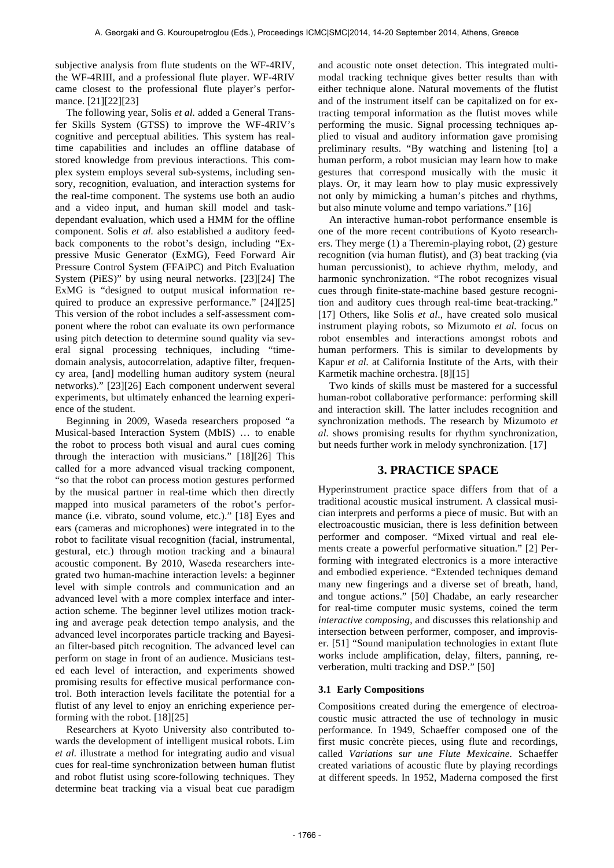subjective analysis from flute students on the WF-4RIV, the WF-4RIII, and a professional flute player. WF-4RIV came closest to the professional flute player's performance. [21][22][23]

The following year, Solis *et al.* added a General Transfer Skills System (GTSS) to improve the WF-4RIV's cognitive and perceptual abilities. This system has realtime capabilities and includes an offline database of stored knowledge from previous interactions. This complex system employs several sub-systems, including sensory, recognition, evaluation, and interaction systems for the real-time component. The systems use both an audio and a video input, and human skill model and taskdependant evaluation, which used a HMM for the offline component. Solis *et al.* also established a auditory feedback components to the robot's design, including "Expressive Music Generator (ExMG), Feed Forward Air Pressure Control System (FFAiPC) and Pitch Evaluation System (PiES)" by using neural networks. [23][24] The ExMG is "designed to output musical information required to produce an expressive performance." [24][25] This version of the robot includes a self-assessment component where the robot can evaluate its own performance using pitch detection to determine sound quality via several signal processing techniques, including "timedomain analysis, autocorrelation, adaptive filter, frequency area, [and] modelling human auditory system (neural networks)." [23][26] Each component underwent several experiments, but ultimately enhanced the learning experience of the student.

Beginning in 2009, Waseda researchers proposed "a Musical-based Interaction System (MbIS) … to enable the robot to process both visual and aural cues coming through the interaction with musicians." [18][26] This called for a more advanced visual tracking component, "so that the robot can process motion gestures performed by the musical partner in real-time which then directly mapped into musical parameters of the robot's performance (i.e. vibrato, sound volume, etc.)." [18] Eyes and ears (cameras and microphones) were integrated in to the robot to facilitate visual recognition (facial, instrumental, gestural, etc.) through motion tracking and a binaural acoustic component. By 2010, Waseda researchers integrated two human-machine interaction levels: a beginner level with simple controls and communication and an advanced level with a more complex interface and interaction scheme. The beginner level utilizes motion tracking and average peak detection tempo analysis, and the advanced level incorporates particle tracking and Bayesian filter-based pitch recognition. The advanced level can perform on stage in front of an audience. Musicians tested each level of interaction, and experiments showed promising results for effective musical performance control. Both interaction levels facilitate the potential for a flutist of any level to enjoy an enriching experience performing with the robot. [18][25]

Researchers at Kyoto University also contributed towards the development of intelligent musical robots. Lim *et al.* illustrate a method for integrating audio and visual cues for real-time synchronization between human flutist and robot flutist using score-following techniques. They determine beat tracking via a visual beat cue paradigm

and acoustic note onset detection. This integrated multimodal tracking technique gives better results than with either technique alone. Natural movements of the flutist and of the instrument itself can be capitalized on for extracting temporal information as the flutist moves while performing the music. Signal processing techniques applied to visual and auditory information gave promising preliminary results. "By watching and listening [to] a human perform, a robot musician may learn how to make gestures that correspond musically with the music it plays. Or, it may learn how to play music expressively not only by mimicking a human's pitches and rhythms, but also minute volume and tempo variations." [16]

An interactive human-robot performance ensemble is one of the more recent contributions of Kyoto researchers. They merge (1) a Theremin-playing robot, (2) gesture recognition (via human flutist), and (3) beat tracking (via human percussionist), to achieve rhythm, melody, and harmonic synchronization. "The robot recognizes visual cues through finite-state-machine based gesture recognition and auditory cues through real-time beat-tracking." [17] Others, like Solis *et al*., have created solo musical instrument playing robots, so Mizumoto *et al.* focus on robot ensembles and interactions amongst robots and human performers. This is similar to developments by Kapur *et al.* at California Institute of the Arts, with their Karmetik machine orchestra. [8][15]

Two kinds of skills must be mastered for a successful human-robot collaborative performance: performing skill and interaction skill. The latter includes recognition and synchronization methods. The research by Mizumoto *et al.* shows promising results for rhythm synchronization, but needs further work in melody synchronization. [17]

## **3. PRACTICE SPACE**

Hyperinstrument practice space differs from that of a traditional acoustic musical instrument. A classical musician interprets and performs a piece of music. But with an electroacoustic musician, there is less definition between performer and composer. "Mixed virtual and real elements create a powerful performative situation." [2] Performing with integrated electronics is a more interactive and embodied experience. "Extended techniques demand many new fingerings and a diverse set of breath, hand, and tongue actions." [50] Chadabe, an early researcher for real-time computer music systems, coined the term *interactive composing*, and discusses this relationship and intersection between performer, composer, and improviser. [51] "Sound manipulation technologies in extant flute works include amplification, delay, filters, panning, reverberation, multi tracking and DSP." [50]

#### **3.1 Early Compositions**

Compositions created during the emergence of electroacoustic music attracted the use of technology in music performance. In 1949, Schaeffer composed one of the first music concrète pieces, using flute and recordings, called *Variations sur une Flute Mexicaine.* Schaeffer created variations of acoustic flute by playing recordings at different speeds. In 1952, Maderna composed the first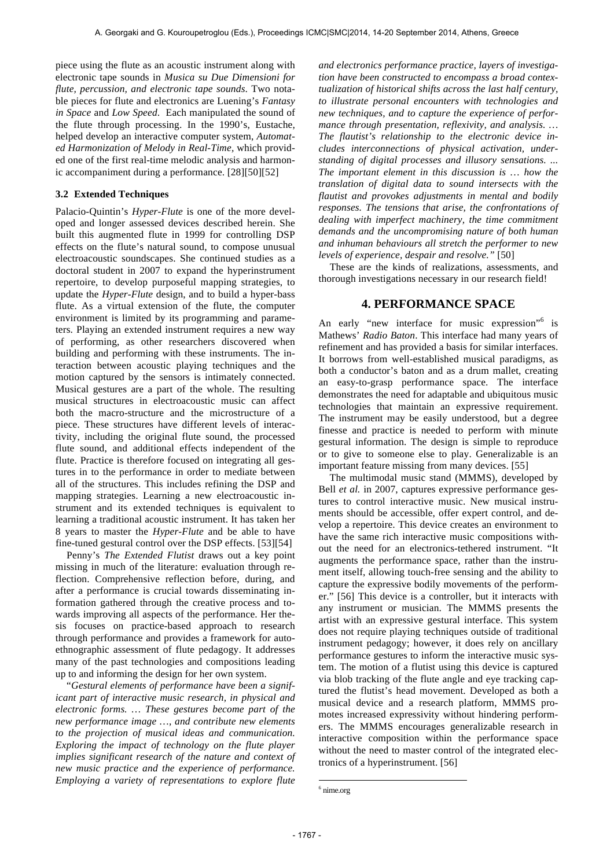piece using the flute as an acoustic instrument along with electronic tape sounds in *Musica su Due Dimensioni for flute, percussion, and electronic tape sounds*. Two notable pieces for flute and electronics are Luening's *Fantasy in Space* and *Low Speed*. Each manipulated the sound of the flute through processing. In the 1990's, Eustache, helped develop an interactive computer system, *Automated Harmonization of Melody in Real-Time,* which provided one of the first real-time melodic analysis and harmonic accompaniment during a performance. [28][50][52]

#### **3.2 Extended Techniques**

Palacio-Quintin's *Hyper-Flute* is one of the more developed and longer assessed devices described herein. She built this augmented flute in 1999 for controlling DSP effects on the flute's natural sound, to compose unusual electroacoustic soundscapes. She continued studies as a doctoral student in 2007 to expand the hyperinstrument repertoire, to develop purposeful mapping strategies, to update the *Hyper-Flute* design, and to build a hyper-bass flute. As a virtual extension of the flute, the computer environment is limited by its programming and parameters. Playing an extended instrument requires a new way of performing, as other researchers discovered when building and performing with these instruments. The interaction between acoustic playing techniques and the motion captured by the sensors is intimately connected. Musical gestures are a part of the whole. The resulting musical structures in electroacoustic music can affect both the macro-structure and the microstructure of a piece. These structures have different levels of interactivity, including the original flute sound, the processed flute sound, and additional effects independent of the flute. Practice is therefore focused on integrating all gestures in to the performance in order to mediate between all of the structures. This includes refining the DSP and mapping strategies. Learning a new electroacoustic instrument and its extended techniques is equivalent to learning a traditional acoustic instrument. It has taken her 8 years to master the *Hyper-Flute* and be able to have fine-tuned gestural control over the DSP effects. [53][54]

Penny's *The Extended Flutist* draws out a key point missing in much of the literature: evaluation through reflection. Comprehensive reflection before, during, and after a performance is crucial towards disseminating information gathered through the creative process and towards improving all aspects of the performance. Her thesis focuses on practice-based approach to research through performance and provides a framework for autoethnographic assessment of flute pedagogy. It addresses many of the past technologies and compositions leading up to and informing the design for her own system.

"*Gestural elements of performance have been a significant part of interactive music research, in physical and electronic forms. … These gestures become part of the new performance image …, and contribute new elements to the projection of musical ideas and communication. Exploring the impact of technology on the flute player implies significant research of the nature and context of new music practice and the experience of performance. Employing a variety of representations to explore flute* 

*and electronics performance practice, layers of investigation have been constructed to encompass a broad contextualization of historical shifts across the last half century, to illustrate personal encounters with technologies and new techniques, and to capture the experience of performance through presentation, reflexivity, and analysis. … The flautist's relationship to the electronic device includes interconnections of physical activation, understanding of digital processes and illusory sensations. ... The important element in this discussion is … how the translation of digital data to sound intersects with the flautist and provokes adjustments in mental and bodily responses. The tensions that arise, the confrontations of dealing with imperfect machinery, the time commitment demands and the uncompromising nature of both human and inhuman behaviours all stretch the performer to new levels of experience, despair and resolve."* [50]

These are the kinds of realizations, assessments, and thorough investigations necessary in our research field!

## **4. PERFORMANCE SPACE**

An early "new interface for music expression"<sup>6</sup> is Mathews' *Radio Baton*. This interface had many years of refinement and has provided a basis for similar interfaces. It borrows from well-established musical paradigms, as both a conductor's baton and as a drum mallet, creating an easy-to-grasp performance space. The interface demonstrates the need for adaptable and ubiquitous music technologies that maintain an expressive requirement. The instrument may be easily understood, but a degree finesse and practice is needed to perform with minute gestural information. The design is simple to reproduce or to give to someone else to play. Generalizable is an important feature missing from many devices. [55]

The multimodal music stand (MMMS), developed by Bell *et al.* in 2007, captures expressive performance gestures to control interactive music. New musical instruments should be accessible, offer expert control, and develop a repertoire. This device creates an environment to have the same rich interactive music compositions without the need for an electronics-tethered instrument. "It augments the performance space, rather than the instrument itself, allowing touch-free sensing and the ability to capture the expressive bodily movements of the performer." [56] This device is a controller, but it interacts with any instrument or musician. The MMMS presents the artist with an expressive gestural interface. This system does not require playing techniques outside of traditional instrument pedagogy; however, it does rely on ancillary performance gestures to inform the interactive music system. The motion of a flutist using this device is captured via blob tracking of the flute angle and eye tracking captured the flutist's head movement. Developed as both a musical device and a research platform, MMMS promotes increased expressivity without hindering performers. The MMMS encourages generalizable research in interactive composition within the performance space without the need to master control of the integrated electronics of a hyperinstrument. [56]

**.** 

 $6$  nime.org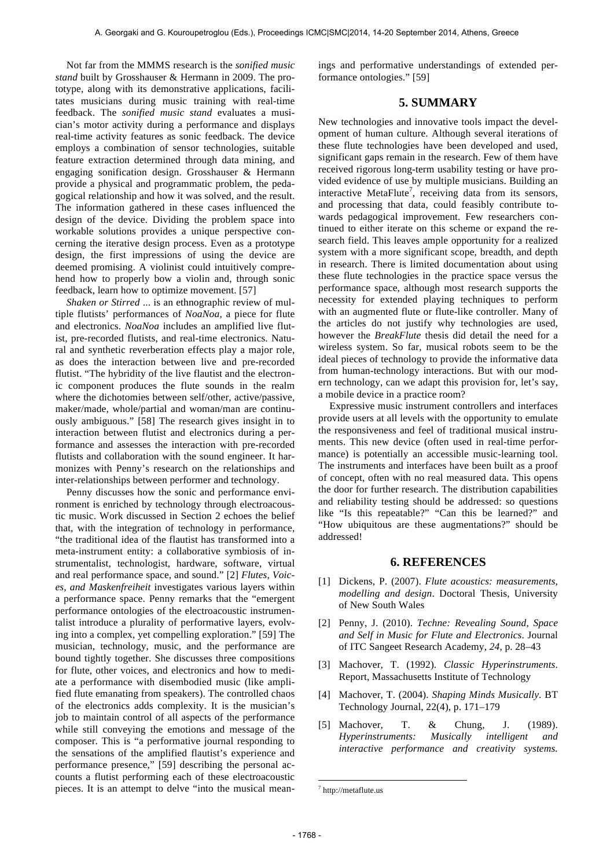Not far from the MMMS research is the *sonified music stand* built by Grosshauser & Hermann in 2009. The prototype, along with its demonstrative applications, facilitates musicians during music training with real-time feedback. The *sonified music stand* evaluates a musician's motor activity during a performance and displays real-time activity features as sonic feedback. The device employs a combination of sensor technologies, suitable feature extraction determined through data mining, and engaging sonification design. Grosshauser & Hermann provide a physical and programmatic problem, the pedagogical relationship and how it was solved, and the result. The information gathered in these cases influenced the design of the device. Dividing the problem space into workable solutions provides a unique perspective concerning the iterative design process. Even as a prototype design, the first impressions of using the device are deemed promising. A violinist could intuitively comprehend how to properly bow a violin and, through sonic feedback, learn how to optimize movement. [57]

*Shaken or Stirred* ... is an ethnographic review of multiple flutists' performances of *NoaNoa*, a piece for flute and electronics. *NoaNoa* includes an amplified live flutist, pre-recorded flutists, and real-time electronics. Natural and synthetic reverberation effects play a major role, as does the interaction between live and pre-recorded flutist. "The hybridity of the live flautist and the electronic component produces the flute sounds in the realm where the dichotomies between self/other, active/passive, maker/made, whole/partial and woman/man are continuously ambiguous." [58] The research gives insight in to interaction between flutist and electronics during a performance and assesses the interaction with pre-recorded flutists and collaboration with the sound engineer. It harmonizes with Penny's research on the relationships and inter-relationships between performer and technology.

Penny discusses how the sonic and performance environment is enriched by technology through electroacoustic music. Work discussed in Section 2 echoes the belief that, with the integration of technology in performance, "the traditional idea of the flautist has transformed into a meta-instrument entity: a collaborative symbiosis of instrumentalist, technologist, hardware, software, virtual and real performance space, and sound." [2] *Flutes, Voices, and Maskenfreiheit* investigates various layers within a performance space. Penny remarks that the "emergent performance ontologies of the electroacoustic instrumentalist introduce a plurality of performative layers, evolving into a complex, yet compelling exploration." [59] The musician, technology, music, and the performance are bound tightly together. She discusses three compositions for flute, other voices, and electronics and how to mediate a performance with disembodied music (like amplified flute emanating from speakers). The controlled chaos of the electronics adds complexity. It is the musician's job to maintain control of all aspects of the performance while still conveying the emotions and message of the composer. This is "a performative journal responding to the sensations of the amplified flautist's experience and performance presence," [59] describing the personal accounts a flutist performing each of these electroacoustic pieces. It is an attempt to delve "into the musical meanings and performative understandings of extended performance ontologies." [59]

## **5. SUMMARY**

New technologies and innovative tools impact the development of human culture. Although several iterations of these flute technologies have been developed and used, significant gaps remain in the research. Few of them have received rigorous long-term usability testing or have provided evidence of use by multiple musicians. Building an interactive MetaFlute<sup>7</sup>, receiving data from its sensors, and processing that data, could feasibly contribute towards pedagogical improvement. Few researchers continued to either iterate on this scheme or expand the research field. This leaves ample opportunity for a realized system with a more significant scope, breadth, and depth in research. There is limited documentation about using these flute technologies in the practice space versus the performance space, although most research supports the necessity for extended playing techniques to perform with an augmented flute or flute-like controller. Many of the articles do not justify why technologies are used, however the *BreakFlute* thesis did detail the need for a wireless system. So far, musical robots seem to be the ideal pieces of technology to provide the informative data from human-technology interactions. But with our modern technology, can we adapt this provision for, let's say, a mobile device in a practice room?

Expressive music instrument controllers and interfaces provide users at all levels with the opportunity to emulate the responsiveness and feel of traditional musical instruments. This new device (often used in real-time performance) is potentially an accessible music-learning tool. The instruments and interfaces have been built as a proof of concept, often with no real measured data. This opens the door for further research. The distribution capabilities and reliability testing should be addressed: so questions like "Is this repeatable?" "Can this be learned?" and "How ubiquitous are these augmentations?" should be addressed!

## **6. REFERENCES**

- [1] Dickens, P. (2007). *Flute acoustics: measurements, modelling and design*. Doctoral Thesis, University of New South Wales
- [2] Penny, J. (2010). *Techne: Revealing Sound, Space and Self in Music for Flute and Electronics*. Journal of ITC Sangeet Research Academy, *24*, p. 28–43
- [3] Machover, T. (1992). *Classic Hyperinstruments*. Report, Massachusetts Institute of Technology
- [4] Machover, T. (2004). *Shaping Minds Musically*. BT Technology Journal, 22(4), p. 171–179
- [5] Machover, T. & Chung, J. (1989). *Hyperinstruments: Musically intelligent and interactive performance and creativity systems.*

1

 $^7$  http://metaflute.us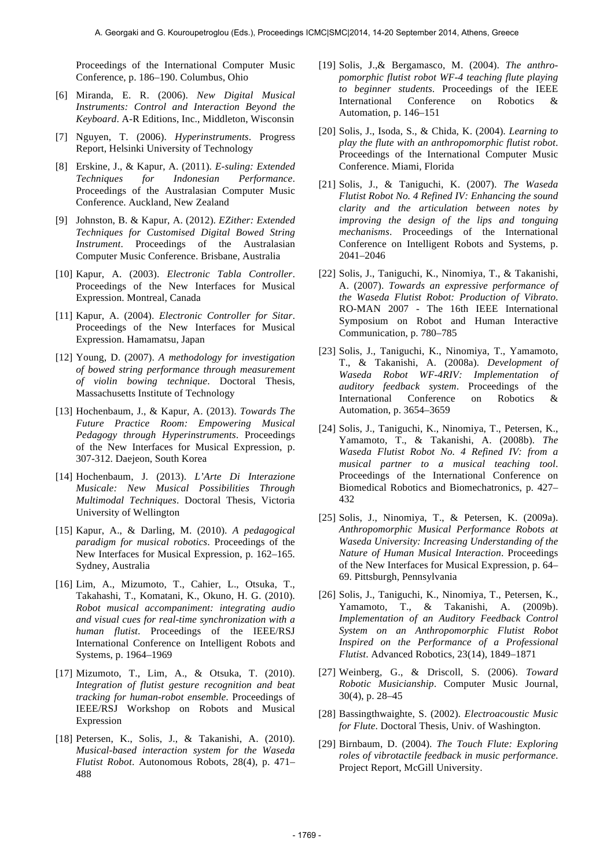Proceedings of the International Computer Music Conference, p. 186–190. Columbus, Ohio

- [6] Miranda, E. R. (2006). *New Digital Musical Instruments: Control and Interaction Beyond the Keyboard*. A-R Editions, Inc., Middleton, Wisconsin
- [7] Nguyen, T. (2006). *Hyperinstruments*. Progress Report, Helsinki University of Technology
- [8] Erskine, J., & Kapur, A. (2011). *E-suling: Extended Techniques for Indonesian Performance*. Proceedings of the Australasian Computer Music Conference. Auckland, New Zealand
- [9] Johnston, B. & Kapur, A. (2012). *EZither: Extended Techniques for Customised Digital Bowed String Instrument*. Proceedings of the Australasian Computer Music Conference. Brisbane, Australia
- [10] Kapur, A. (2003). *Electronic Tabla Controller*. Proceedings of the New Interfaces for Musical Expression. Montreal, Canada
- [11] Kapur, A. (2004). *Electronic Controller for Sitar*. Proceedings of the New Interfaces for Musical Expression. Hamamatsu, Japan
- [12] Young, D. (2007). *A methodology for investigation of bowed string performance through measurement of violin bowing technique*. Doctoral Thesis, Massachusetts Institute of Technology
- [13] Hochenbaum, J., & Kapur, A. (2013). *Towards The Future Practice Room: Empowering Musical Pedagogy through Hyperinstruments*. Proceedings of the New Interfaces for Musical Expression, p. 307-312. Daejeon, South Korea
- [14] Hochenbaum, J. (2013). *L'Arte Di Interazione Musicale: New Musical Possibilities Through Multimodal Techniques*. Doctoral Thesis, Victoria University of Wellington
- [15] Kapur, A., & Darling, M. (2010). *A pedagogical paradigm for musical robotics*. Proceedings of the New Interfaces for Musical Expression, p. 162–165. Sydney, Australia
- [16] Lim, A., Mizumoto, T., Cahier, L., Otsuka, T., Takahashi, T., Komatani, K., Okuno, H. G. (2010). *Robot musical accompaniment: integrating audio and visual cues for real-time synchronization with a human flutist*. Proceedings of the IEEE/RSJ International Conference on Intelligent Robots and Systems, p. 1964–1969
- [17] Mizumoto, T., Lim, A., & Otsuka, T. (2010). *Integration of flutist gesture recognition and beat tracking for human-robot ensemble*. Proceedings of IEEE/RSJ Workshop on Robots and Musical Expression
- [18] Petersen, K., Solis, J., & Takanishi, A. (2010). *Musical-based interaction system for the Waseda Flutist Robot*. Autonomous Robots, 28(4), p. 471– 488
- [19] Solis, J.,& Bergamasco, M. (2004). *The anthropomorphic flutist robot WF-4 teaching flute playing to beginner students*. Proceedings of the IEEE International Conference on Robotics & Automation, p. 146–151
- [20] Solis, J., Isoda, S., & Chida, K. (2004). *Learning to play the flute with an anthropomorphic flutist robot*. Proceedings of the International Computer Music Conference. Miami, Florida
- [21] Solis, J., & Taniguchi, K. (2007). *The Waseda Flutist Robot No. 4 Refined IV: Enhancing the sound clarity and the articulation between notes by improving the design of the lips and tonguing mechanisms*. Proceedings of the International Conference on Intelligent Robots and Systems, p. 2041–2046
- [22] Solis, J., Taniguchi, K., Ninomiya, T., & Takanishi, A. (2007). *Towards an expressive performance of the Waseda Flutist Robot: Production of Vibrato*. RO-MAN 2007 - The 16th IEEE International Symposium on Robot and Human Interactive Communication, p. 780–785
- [23] Solis, J., Taniguchi, K., Ninomiya, T., Yamamoto, T., & Takanishi, A. (2008a). *Development of Waseda Robot WF-4RIV: Implementation of auditory feedback system*. Proceedings of the International Conference on Robotics & Automation, p. 3654–3659
- [24] Solis, J., Taniguchi, K., Ninomiya, T., Petersen, K., Yamamoto, T., & Takanishi, A. (2008b). *The Waseda Flutist Robot No. 4 Refined IV: from a musical partner to a musical teaching tool*. Proceedings of the International Conference on Biomedical Robotics and Biomechatronics, p. 427– 432
- [25] Solis, J., Ninomiya, T., & Petersen, K. (2009a). *Anthropomorphic Musical Performance Robots at Waseda University: Increasing Understanding of the Nature of Human Musical Interaction*. Proceedings of the New Interfaces for Musical Expression, p. 64– 69. Pittsburgh, Pennsylvania
- [26] Solis, J., Taniguchi, K., Ninomiya, T., Petersen, K., Yamamoto, T., & Takanishi, A. (2009b). *Implementation of an Auditory Feedback Control System on an Anthropomorphic Flutist Robot Inspired on the Performance of a Professional Flutist*. Advanced Robotics, 23(14), 1849–1871
- [27] Weinberg, G., & Driscoll, S. (2006). *Toward Robotic Musicianship*. Computer Music Journal, 30(4), p. 28–45
- [28] Bassingthwaighte, S. (2002). *Electroacoustic Music for Flute*. Doctoral Thesis, Univ. of Washington.
- [29] Birnbaum, D. (2004). *The Touch Flute: Exploring roles of vibrotactile feedback in music performance*. Project Report, McGill University.